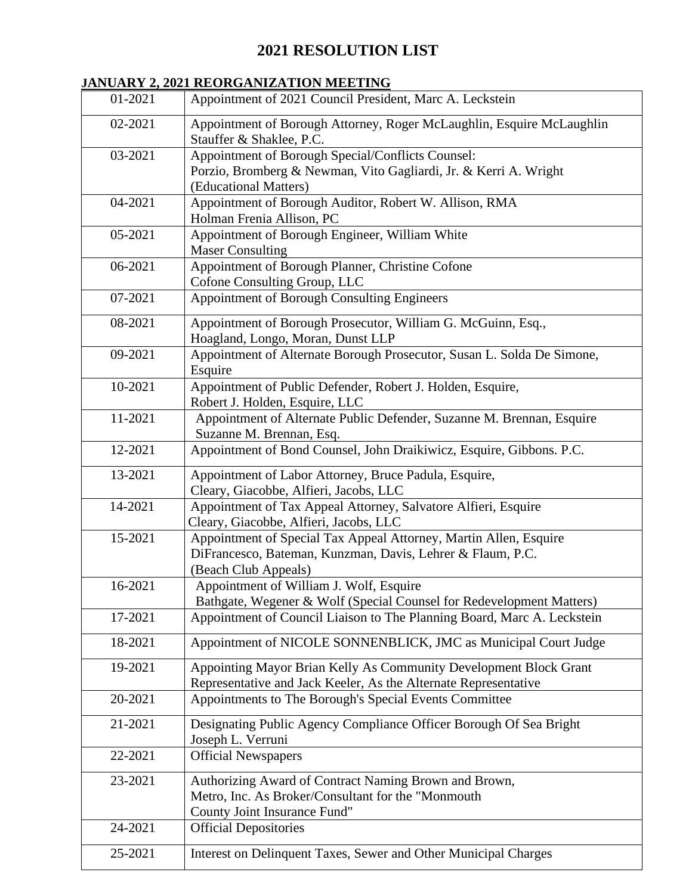# **2021 RESOLUTION LIST**

### **JANUARY 2, 2021 REORGANIZATION MEETING**

| 01-2021 | Appointment of 2021 Council President, Marc A. Leckstein                                                                                                |
|---------|---------------------------------------------------------------------------------------------------------------------------------------------------------|
| 02-2021 | Appointment of Borough Attorney, Roger McLaughlin, Esquire McLaughlin<br>Stauffer & Shaklee, P.C.                                                       |
| 03-2021 | Appointment of Borough Special/Conflicts Counsel:<br>Porzio, Bromberg & Newman, Vito Gagliardi, Jr. & Kerri A. Wright<br>(Educational Matters)          |
| 04-2021 | Appointment of Borough Auditor, Robert W. Allison, RMA<br>Holman Frenia Allison, PC                                                                     |
| 05-2021 | Appointment of Borough Engineer, William White<br><b>Maser Consulting</b>                                                                               |
| 06-2021 | Appointment of Borough Planner, Christine Cofone<br>Cofone Consulting Group, LLC                                                                        |
| 07-2021 | Appointment of Borough Consulting Engineers                                                                                                             |
| 08-2021 | Appointment of Borough Prosecutor, William G. McGuinn, Esq.,<br>Hoagland, Longo, Moran, Dunst LLP                                                       |
| 09-2021 | Appointment of Alternate Borough Prosecutor, Susan L. Solda De Simone,<br>Esquire                                                                       |
| 10-2021 | Appointment of Public Defender, Robert J. Holden, Esquire,<br>Robert J. Holden, Esquire, LLC                                                            |
| 11-2021 | Appointment of Alternate Public Defender, Suzanne M. Brennan, Esquire<br>Suzanne M. Brennan, Esq.                                                       |
| 12-2021 | Appointment of Bond Counsel, John Draikiwicz, Esquire, Gibbons. P.C.                                                                                    |
| 13-2021 | Appointment of Labor Attorney, Bruce Padula, Esquire,<br>Cleary, Giacobbe, Alfieri, Jacobs, LLC                                                         |
| 14-2021 | Appointment of Tax Appeal Attorney, Salvatore Alfieri, Esquire<br>Cleary, Giacobbe, Alfieri, Jacobs, LLC                                                |
| 15-2021 | Appointment of Special Tax Appeal Attorney, Martin Allen, Esquire<br>DiFrancesco, Bateman, Kunzman, Davis, Lehrer & Flaum, P.C.<br>(Beach Club Appeals) |
| 16-2021 | Appointment of William J. Wolf, Esquire<br>Bathgate, Wegener & Wolf (Special Counsel for Redevelopment Matters)                                         |
| 17-2021 | Appointment of Council Liaison to The Planning Board, Marc A. Leckstein                                                                                 |
| 18-2021 | Appointment of NICOLE SONNENBLICK, JMC as Municipal Court Judge                                                                                         |
| 19-2021 | Appointing Mayor Brian Kelly As Community Development Block Grant<br>Representative and Jack Keeler, As the Alternate Representative                    |
| 20-2021 | Appointments to The Borough's Special Events Committee                                                                                                  |
| 21-2021 | Designating Public Agency Compliance Officer Borough Of Sea Bright<br>Joseph L. Verruni                                                                 |
| 22-2021 | <b>Official Newspapers</b>                                                                                                                              |
| 23-2021 | Authorizing Award of Contract Naming Brown and Brown,<br>Metro, Inc. As Broker/Consultant for the "Monmouth<br>County Joint Insurance Fund"             |
| 24-2021 | <b>Official Depositories</b>                                                                                                                            |
| 25-2021 | Interest on Delinquent Taxes, Sewer and Other Municipal Charges                                                                                         |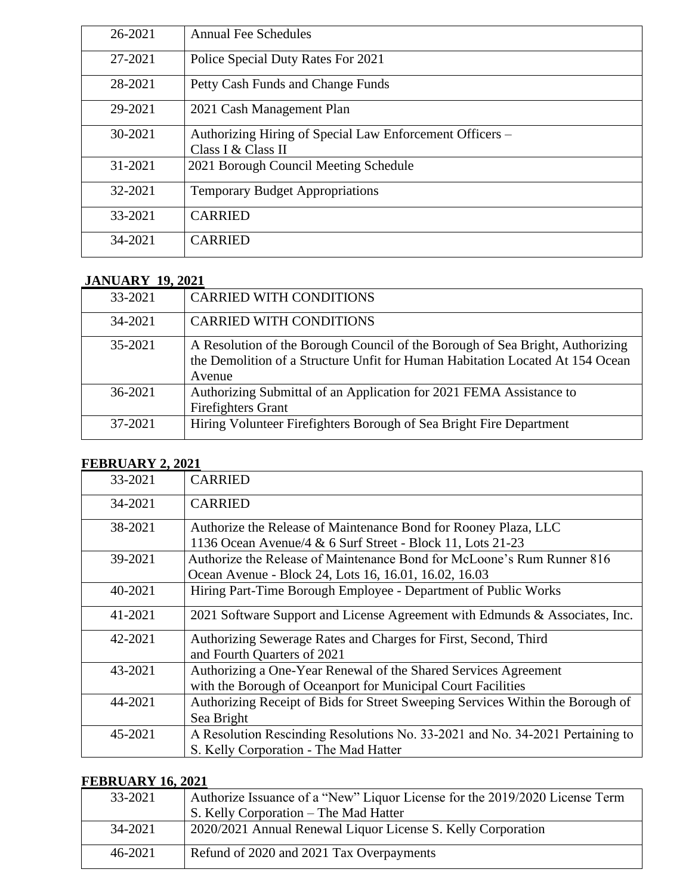| 26-2021 | <b>Annual Fee Schedules</b>                                                    |
|---------|--------------------------------------------------------------------------------|
| 27-2021 | Police Special Duty Rates For 2021                                             |
| 28-2021 | Petty Cash Funds and Change Funds                                              |
| 29-2021 | 2021 Cash Management Plan                                                      |
| 30-2021 | Authorizing Hiring of Special Law Enforcement Officers -<br>Class I & Class II |
| 31-2021 | 2021 Borough Council Meeting Schedule                                          |
| 32-2021 | <b>Temporary Budget Appropriations</b>                                         |
| 33-2021 | <b>CARRIED</b>                                                                 |
| 34-2021 | <b>CARRIED</b>                                                                 |
|         |                                                                                |

## **JANUARY 19, 2021**

| 33-2021 | <b>CARRIED WITH CONDITIONS</b>                                                                                                                                           |
|---------|--------------------------------------------------------------------------------------------------------------------------------------------------------------------------|
| 34-2021 | <b>CARRIED WITH CONDITIONS</b>                                                                                                                                           |
| 35-2021 | A Resolution of the Borough Council of the Borough of Sea Bright, Authorizing<br>the Demolition of a Structure Unfit for Human Habitation Located At 154 Ocean<br>Avenue |
| 36-2021 | Authorizing Submittal of an Application for 2021 FEMA Assistance to<br><b>Firefighters Grant</b>                                                                         |
| 37-2021 | Hiring Volunteer Firefighters Borough of Sea Bright Fire Department                                                                                                      |

#### **FEBRUARY 2, 2021**

| 33-2021 | <b>CARRIED</b>                                                                 |
|---------|--------------------------------------------------------------------------------|
| 34-2021 | <b>CARRIED</b>                                                                 |
| 38-2021 | Authorize the Release of Maintenance Bond for Rooney Plaza, LLC                |
|         | 1136 Ocean Avenue/4 & 6 Surf Street - Block 11, Lots 21-23                     |
| 39-2021 | Authorize the Release of Maintenance Bond for McLoone's Rum Runner 816         |
|         | Ocean Avenue - Block 24, Lots 16, 16.01, 16.02, 16.03                          |
| 40-2021 | Hiring Part-Time Borough Employee - Department of Public Works                 |
| 41-2021 | 2021 Software Support and License Agreement with Edmunds & Associates, Inc.    |
| 42-2021 | Authorizing Sewerage Rates and Charges for First, Second, Third                |
|         | and Fourth Quarters of 2021                                                    |
| 43-2021 | Authorizing a One-Year Renewal of the Shared Services Agreement                |
|         | with the Borough of Oceanport for Municipal Court Facilities                   |
| 44-2021 | Authorizing Receipt of Bids for Street Sweeping Services Within the Borough of |
|         | Sea Bright                                                                     |
| 45-2021 | A Resolution Rescinding Resolutions No. 33-2021 and No. 34-2021 Pertaining to  |
|         | S. Kelly Corporation - The Mad Hatter                                          |

#### **FEBRUARY 16, 2021**

| --------------------- |                                                                             |
|-----------------------|-----------------------------------------------------------------------------|
| 33-2021               | Authorize Issuance of a "New" Liquor License for the 2019/2020 License Term |
|                       | S. Kelly Corporation – The Mad Hatter                                       |
| 34-2021               | 2020/2021 Annual Renewal Liquor License S. Kelly Corporation                |
| $46 - 2021$           | Refund of 2020 and 2021 Tax Overpayments                                    |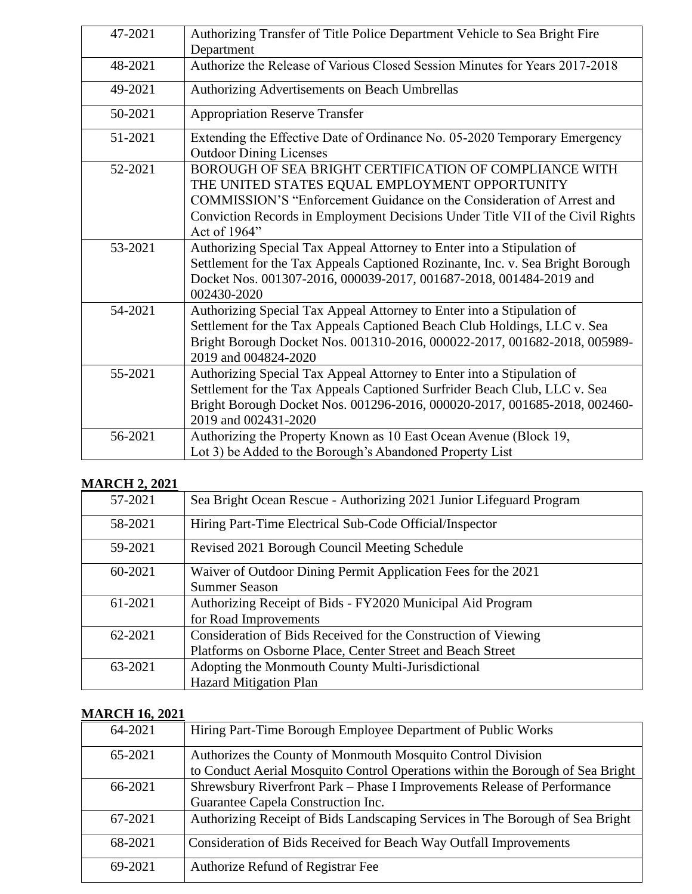| 47-2021 | Authorizing Transfer of Title Police Department Vehicle to Sea Bright Fire                                                                                                                                                                               |
|---------|----------------------------------------------------------------------------------------------------------------------------------------------------------------------------------------------------------------------------------------------------------|
|         | Department                                                                                                                                                                                                                                               |
| 48-2021 | Authorize the Release of Various Closed Session Minutes for Years 2017-2018                                                                                                                                                                              |
| 49-2021 | Authorizing Advertisements on Beach Umbrellas                                                                                                                                                                                                            |
| 50-2021 | <b>Appropriation Reserve Transfer</b>                                                                                                                                                                                                                    |
| 51-2021 | Extending the Effective Date of Ordinance No. 05-2020 Temporary Emergency<br><b>Outdoor Dining Licenses</b>                                                                                                                                              |
| 52-2021 | BOROUGH OF SEA BRIGHT CERTIFICATION OF COMPLIANCE WITH<br>THE UNITED STATES EQUAL EMPLOYMENT OPPORTUNITY<br>COMMISSION'S "Enforcement Guidance on the Consideration of Arrest and                                                                        |
|         | Conviction Records in Employment Decisions Under Title VII of the Civil Rights<br>Act of 1964"                                                                                                                                                           |
| 53-2021 | Authorizing Special Tax Appeal Attorney to Enter into a Stipulation of<br>Settlement for the Tax Appeals Captioned Rozinante, Inc. v. Sea Bright Borough<br>Docket Nos. 001307-2016, 000039-2017, 001687-2018, 001484-2019 and<br>002430-2020            |
| 54-2021 | Authorizing Special Tax Appeal Attorney to Enter into a Stipulation of<br>Settlement for the Tax Appeals Captioned Beach Club Holdings, LLC v. Sea<br>Bright Borough Docket Nos. 001310-2016, 000022-2017, 001682-2018, 005989-<br>2019 and 004824-2020  |
| 55-2021 | Authorizing Special Tax Appeal Attorney to Enter into a Stipulation of<br>Settlement for the Tax Appeals Captioned Surfrider Beach Club, LLC v. Sea<br>Bright Borough Docket Nos. 001296-2016, 000020-2017, 001685-2018, 002460-<br>2019 and 002431-2020 |
| 56-2021 | Authorizing the Property Known as 10 East Ocean Avenue (Block 19,<br>Lot 3) be Added to the Borough's Abandoned Property List                                                                                                                            |

### **MARCH 2, 2021**

| 57-2021 | Sea Bright Ocean Rescue - Authorizing 2021 Junior Lifeguard Program                                                          |
|---------|------------------------------------------------------------------------------------------------------------------------------|
| 58-2021 | Hiring Part-Time Electrical Sub-Code Official/Inspector                                                                      |
| 59-2021 | Revised 2021 Borough Council Meeting Schedule                                                                                |
| 60-2021 | Waiver of Outdoor Dining Permit Application Fees for the 2021<br><b>Summer Season</b>                                        |
| 61-2021 | Authorizing Receipt of Bids - FY2020 Municipal Aid Program<br>for Road Improvements                                          |
| 62-2021 | Consideration of Bids Received for the Construction of Viewing<br>Platforms on Osborne Place, Center Street and Beach Street |
| 63-2021 | Adopting the Monmouth County Multi-Jurisdictional<br><b>Hazard Mitigation Plan</b>                                           |

#### **MARCH 16, 2021**

| 64-2021 | Hiring Part-Time Borough Employee Department of Public Works                                                                                  |
|---------|-----------------------------------------------------------------------------------------------------------------------------------------------|
| 65-2021 | Authorizes the County of Monmouth Mosquito Control Division<br>to Conduct Aerial Mosquito Control Operations within the Borough of Sea Bright |
| 66-2021 | Shrewsbury Riverfront Park – Phase I Improvements Release of Performance<br>Guarantee Capela Construction Inc.                                |
| 67-2021 | Authorizing Receipt of Bids Landscaping Services in The Borough of Sea Bright                                                                 |
| 68-2021 | Consideration of Bids Received for Beach Way Outfall Improvements                                                                             |
| 69-2021 | Authorize Refund of Registrar Fee                                                                                                             |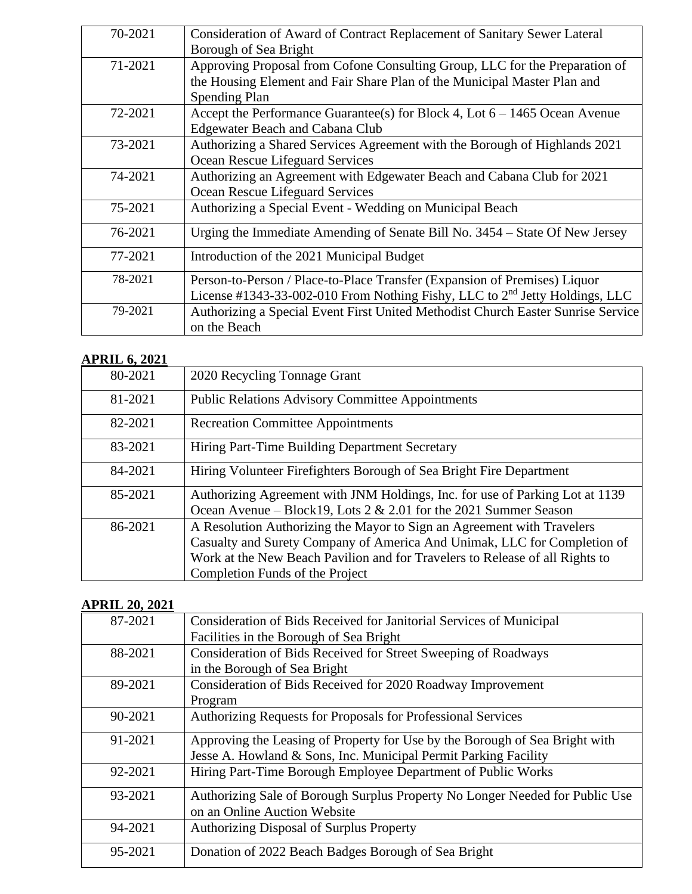| 70-2021 | Consideration of Award of Contract Replacement of Sanitary Sewer Lateral                |
|---------|-----------------------------------------------------------------------------------------|
|         | Borough of Sea Bright                                                                   |
| 71-2021 | Approving Proposal from Cofone Consulting Group, LLC for the Preparation of             |
|         | the Housing Element and Fair Share Plan of the Municipal Master Plan and                |
|         | Spending Plan                                                                           |
| 72-2021 | Accept the Performance Guarantee(s) for Block 4, Lot $6 - 1465$ Ocean Avenue            |
|         | <b>Edgewater Beach and Cabana Club</b>                                                  |
| 73-2021 | Authorizing a Shared Services Agreement with the Borough of Highlands 2021              |
|         | Ocean Rescue Lifeguard Services                                                         |
| 74-2021 | Authorizing an Agreement with Edgewater Beach and Cabana Club for 2021                  |
|         | Ocean Rescue Lifeguard Services                                                         |
| 75-2021 | Authorizing a Special Event - Wedding on Municipal Beach                                |
| 76-2021 | Urging the Immediate Amending of Senate Bill No. 3454 – State Of New Jersey             |
| 77-2021 | Introduction of the 2021 Municipal Budget                                               |
| 78-2021 | Person-to-Person / Place-to-Place Transfer (Expansion of Premises) Liquor               |
|         | License #1343-33-002-010 From Nothing Fishy, LLC to 2 <sup>nd</sup> Jetty Holdings, LLC |
| 79-2021 | Authorizing a Special Event First United Methodist Church Easter Sunrise Service        |
|         | on the Beach                                                                            |

## **APRIL 6, 2021**

| 80-2021 | 2020 Recycling Tonnage Grant                                                                                                                                                                                                                                          |
|---------|-----------------------------------------------------------------------------------------------------------------------------------------------------------------------------------------------------------------------------------------------------------------------|
| 81-2021 | <b>Public Relations Advisory Committee Appointments</b>                                                                                                                                                                                                               |
| 82-2021 | <b>Recreation Committee Appointments</b>                                                                                                                                                                                                                              |
| 83-2021 | Hiring Part-Time Building Department Secretary                                                                                                                                                                                                                        |
| 84-2021 | Hiring Volunteer Firefighters Borough of Sea Bright Fire Department                                                                                                                                                                                                   |
| 85-2021 | Authorizing Agreement with JNM Holdings, Inc. for use of Parking Lot at 1139<br>Ocean Avenue – Block19, Lots $2 \& 2.01$ for the 2021 Summer Season                                                                                                                   |
| 86-2021 | A Resolution Authorizing the Mayor to Sign an Agreement with Travelers<br>Casualty and Surety Company of America And Unimak, LLC for Completion of<br>Work at the New Beach Pavilion and for Travelers to Release of all Rights to<br>Completion Funds of the Project |

## **APRIL 20, 2021**

| 87-2021 | Consideration of Bids Received for Janitorial Services of Municipal          |
|---------|------------------------------------------------------------------------------|
|         | Facilities in the Borough of Sea Bright                                      |
| 88-2021 | Consideration of Bids Received for Street Sweeping of Roadways               |
|         | in the Borough of Sea Bright                                                 |
| 89-2021 | Consideration of Bids Received for 2020 Roadway Improvement                  |
|         | Program                                                                      |
| 90-2021 | Authorizing Requests for Proposals for Professional Services                 |
| 91-2021 | Approving the Leasing of Property for Use by the Borough of Sea Bright with  |
|         | Jesse A. Howland & Sons, Inc. Municipal Permit Parking Facility              |
| 92-2021 | Hiring Part-Time Borough Employee Department of Public Works                 |
| 93-2021 | Authorizing Sale of Borough Surplus Property No Longer Needed for Public Use |
|         | on an Online Auction Website                                                 |
| 94-2021 | <b>Authorizing Disposal of Surplus Property</b>                              |
| 95-2021 | Donation of 2022 Beach Badges Borough of Sea Bright                          |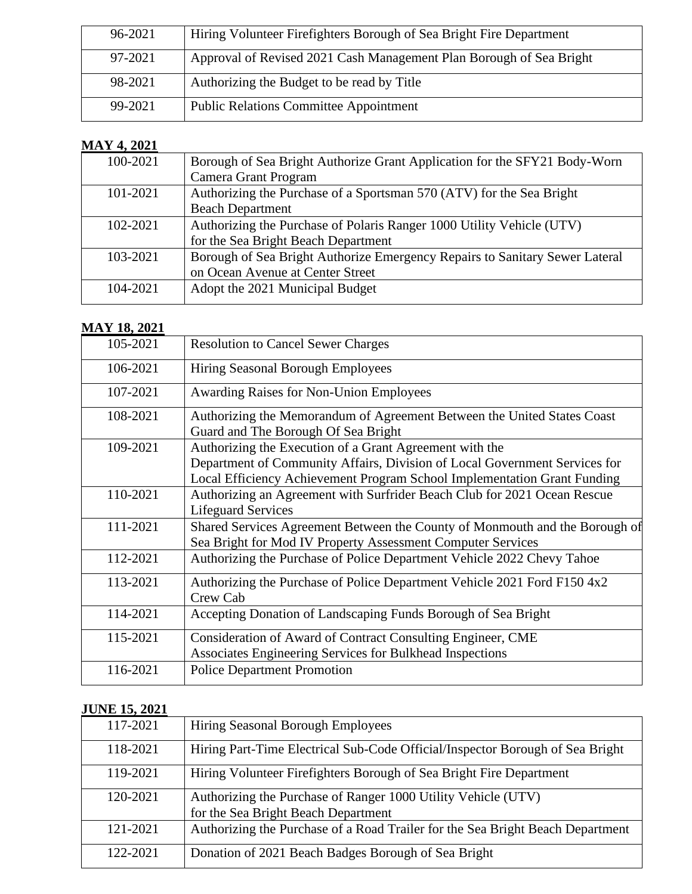| 96-2021 | Hiring Volunteer Firefighters Borough of Sea Bright Fire Department |
|---------|---------------------------------------------------------------------|
| 97-2021 | Approval of Revised 2021 Cash Management Plan Borough of Sea Bright |
| 98-2021 | Authorizing the Budget to be read by Title                          |
| 99-2021 | <b>Public Relations Committee Appointment</b>                       |

## **MAY 4, 2021**

| 100-2021 | Borough of Sea Bright Authorize Grant Application for the SFY21 Body-Worn   |
|----------|-----------------------------------------------------------------------------|
|          | Camera Grant Program                                                        |
| 101-2021 | Authorizing the Purchase of a Sportsman 570 (ATV) for the Sea Bright        |
|          | <b>Beach Department</b>                                                     |
| 102-2021 | Authorizing the Purchase of Polaris Ranger 1000 Utility Vehicle (UTV)       |
|          | for the Sea Bright Beach Department                                         |
| 103-2021 | Borough of Sea Bright Authorize Emergency Repairs to Sanitary Sewer Lateral |
|          | on Ocean Avenue at Center Street                                            |
| 104-2021 | Adopt the 2021 Municipal Budget                                             |
|          |                                                                             |

### **MAY 18, 2021**

| 105-2021 | <b>Resolution to Cancel Sewer Charges</b>                                                                                                                                                                         |
|----------|-------------------------------------------------------------------------------------------------------------------------------------------------------------------------------------------------------------------|
| 106-2021 | Hiring Seasonal Borough Employees                                                                                                                                                                                 |
| 107-2021 | <b>Awarding Raises for Non-Union Employees</b>                                                                                                                                                                    |
| 108-2021 | Authorizing the Memorandum of Agreement Between the United States Coast<br>Guard and The Borough Of Sea Bright                                                                                                    |
| 109-2021 | Authorizing the Execution of a Grant Agreement with the<br>Department of Community Affairs, Division of Local Government Services for<br>Local Efficiency Achievement Program School Implementation Grant Funding |
| 110-2021 | Authorizing an Agreement with Surfrider Beach Club for 2021 Ocean Rescue<br><b>Lifeguard Services</b>                                                                                                             |
| 111-2021 | Shared Services Agreement Between the County of Monmouth and the Borough of<br>Sea Bright for Mod IV Property Assessment Computer Services                                                                        |
| 112-2021 | Authorizing the Purchase of Police Department Vehicle 2022 Chevy Tahoe                                                                                                                                            |
| 113-2021 | Authorizing the Purchase of Police Department Vehicle 2021 Ford F150 4x2<br>Crew Cab                                                                                                                              |
| 114-2021 | Accepting Donation of Landscaping Funds Borough of Sea Bright                                                                                                                                                     |
| 115-2021 | Consideration of Award of Contract Consulting Engineer, CME<br>Associates Engineering Services for Bulkhead Inspections                                                                                           |
| 116-2021 | <b>Police Department Promotion</b>                                                                                                                                                                                |

## **JUNE 15, 2021**

| 117-2021 | Hiring Seasonal Borough Employees                                                                    |
|----------|------------------------------------------------------------------------------------------------------|
| 118-2021 | Hiring Part-Time Electrical Sub-Code Official/Inspector Borough of Sea Bright                        |
| 119-2021 | Hiring Volunteer Firefighters Borough of Sea Bright Fire Department                                  |
| 120-2021 | Authorizing the Purchase of Ranger 1000 Utility Vehicle (UTV)<br>for the Sea Bright Beach Department |
| 121-2021 | Authorizing the Purchase of a Road Trailer for the Sea Bright Beach Department                       |
| 122-2021 | Donation of 2021 Beach Badges Borough of Sea Bright                                                  |
|          |                                                                                                      |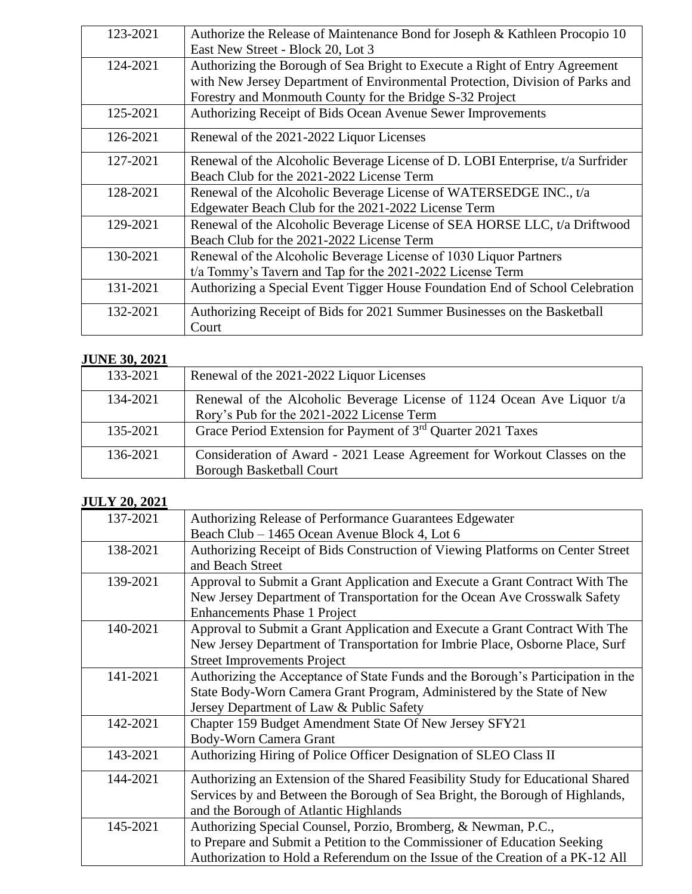| 123-2021 | Authorize the Release of Maintenance Bond for Joseph & Kathleen Procopio 10    |
|----------|--------------------------------------------------------------------------------|
|          | East New Street - Block 20, Lot 3                                              |
| 124-2021 | Authorizing the Borough of Sea Bright to Execute a Right of Entry Agreement    |
|          | with New Jersey Department of Environmental Protection, Division of Parks and  |
|          | Forestry and Monmouth County for the Bridge S-32 Project                       |
| 125-2021 | Authorizing Receipt of Bids Ocean Avenue Sewer Improvements                    |
| 126-2021 | Renewal of the 2021-2022 Liquor Licenses                                       |
| 127-2021 | Renewal of the Alcoholic Beverage License of D. LOBI Enterprise, t/a Surfrider |
|          | Beach Club for the 2021-2022 License Term                                      |
| 128-2021 | Renewal of the Alcoholic Beverage License of WATERSEDGE INC., t/a              |
|          | Edgewater Beach Club for the 2021-2022 License Term                            |
| 129-2021 | Renewal of the Alcoholic Beverage License of SEA HORSE LLC, t/a Driftwood      |
|          | Beach Club for the 2021-2022 License Term                                      |
| 130-2021 | Renewal of the Alcoholic Beverage License of 1030 Liquor Partners              |
|          | t/a Tommy's Tavern and Tap for the 2021-2022 License Term                      |
| 131-2021 | Authorizing a Special Event Tigger House Foundation End of School Celebration  |
| 132-2021 | Authorizing Receipt of Bids for 2021 Summer Businesses on the Basketball       |
|          | Court                                                                          |

#### **JUNE 30, 2021**

| 133-2021 | Renewal of the 2021-2022 Liquor Licenses                                                                            |
|----------|---------------------------------------------------------------------------------------------------------------------|
| 134-2021 | Renewal of the Alcoholic Beverage License of 1124 Ocean Ave Liquor t/a<br>Rory's Pub for the 2021-2022 License Term |
| 135-2021 | Grace Period Extension for Payment of 3 <sup>rd</sup> Quarter 2021 Taxes                                            |
| 136-2021 | Consideration of Award - 2021 Lease Agreement for Workout Classes on the<br><b>Borough Basketball Court</b>         |

### **JULY 20, 2021**

| 137-2021 | Authorizing Release of Performance Guarantees Edgewater                          |
|----------|----------------------------------------------------------------------------------|
|          | Beach Club – 1465 Ocean Avenue Block 4, Lot 6                                    |
| 138-2021 | Authorizing Receipt of Bids Construction of Viewing Platforms on Center Street   |
|          | and Beach Street                                                                 |
| 139-2021 | Approval to Submit a Grant Application and Execute a Grant Contract With The     |
|          | New Jersey Department of Transportation for the Ocean Ave Crosswalk Safety       |
|          | <b>Enhancements Phase 1 Project</b>                                              |
| 140-2021 | Approval to Submit a Grant Application and Execute a Grant Contract With The     |
|          | New Jersey Department of Transportation for Imbrie Place, Osborne Place, Surf    |
|          | <b>Street Improvements Project</b>                                               |
| 141-2021 | Authorizing the Acceptance of State Funds and the Borough's Participation in the |
|          | State Body-Worn Camera Grant Program, Administered by the State of New           |
|          | Jersey Department of Law & Public Safety                                         |
| 142-2021 | Chapter 159 Budget Amendment State Of New Jersey SFY21                           |
|          | Body-Worn Camera Grant                                                           |
| 143-2021 | Authorizing Hiring of Police Officer Designation of SLEO Class II                |
| 144-2021 | Authorizing an Extension of the Shared Feasibility Study for Educational Shared  |
|          | Services by and Between the Borough of Sea Bright, the Borough of Highlands,     |
|          | and the Borough of Atlantic Highlands                                            |
| 145-2021 | Authorizing Special Counsel, Porzio, Bromberg, & Newman, P.C.,                   |
|          | to Prepare and Submit a Petition to the Commissioner of Education Seeking        |
|          | Authorization to Hold a Referendum on the Issue of the Creation of a PK-12 All   |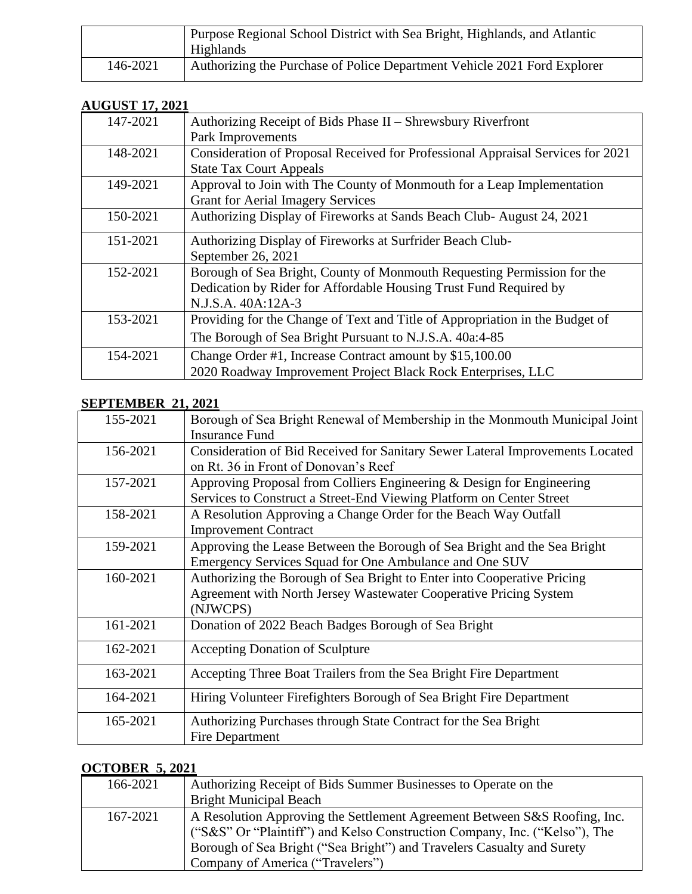|          | Purpose Regional School District with Sea Bright, Highlands, and Atlantic<br>Highlands |
|----------|----------------------------------------------------------------------------------------|
| 146-2021 | Authorizing the Purchase of Police Department Vehicle 2021 Ford Explorer               |

#### **AUGUST 17, 2021**

| 147-2021 | Authorizing Receipt of Bids Phase II - Shrewsbury Riverfront                    |
|----------|---------------------------------------------------------------------------------|
|          | Park Improvements                                                               |
| 148-2021 | Consideration of Proposal Received for Professional Appraisal Services for 2021 |
|          | <b>State Tax Court Appeals</b>                                                  |
| 149-2021 | Approval to Join with The County of Monmouth for a Leap Implementation          |
|          | <b>Grant for Aerial Imagery Services</b>                                        |
| 150-2021 | Authorizing Display of Fireworks at Sands Beach Club-August 24, 2021            |
| 151-2021 | Authorizing Display of Fireworks at Surfrider Beach Club-                       |
|          | September 26, 2021                                                              |
| 152-2021 | Borough of Sea Bright, County of Monmouth Requesting Permission for the         |
|          | Dedication by Rider for Affordable Housing Trust Fund Required by               |
|          | N.J.S.A. 40A:12A-3                                                              |
| 153-2021 | Providing for the Change of Text and Title of Appropriation in the Budget of    |
|          | The Borough of Sea Bright Pursuant to N.J.S.A. 40a:4-85                         |
| 154-2021 | Change Order #1, Increase Contract amount by \$15,100.00                        |
|          | 2020 Roadway Improvement Project Black Rock Enterprises, LLC                    |

### **SEPTEMBER 21, 2021**

| 155-2021 | Borough of Sea Bright Renewal of Membership in the Monmouth Municipal Joint          |
|----------|--------------------------------------------------------------------------------------|
|          | Insurance Fund                                                                       |
| 156-2021 | <b>Consideration of Bid Received for Sanitary Sewer Lateral Improvements Located</b> |
|          | on Rt. 36 in Front of Donovan's Reef                                                 |
| 157-2021 | Approving Proposal from Colliers Engineering & Design for Engineering                |
|          | Services to Construct a Street-End Viewing Platform on Center Street                 |
| 158-2021 | A Resolution Approving a Change Order for the Beach Way Outfall                      |
|          | <b>Improvement Contract</b>                                                          |
| 159-2021 | Approving the Lease Between the Borough of Sea Bright and the Sea Bright             |
|          | Emergency Services Squad for One Ambulance and One SUV                               |
| 160-2021 | Authorizing the Borough of Sea Bright to Enter into Cooperative Pricing              |
|          | Agreement with North Jersey Wastewater Cooperative Pricing System                    |
|          | (NJWCPS)                                                                             |
| 161-2021 | Donation of 2022 Beach Badges Borough of Sea Bright                                  |
| 162-2021 | <b>Accepting Donation of Sculpture</b>                                               |
| 163-2021 | Accepting Three Boat Trailers from the Sea Bright Fire Department                    |
| 164-2021 | Hiring Volunteer Firefighters Borough of Sea Bright Fire Department                  |
| 165-2021 | Authorizing Purchases through State Contract for the Sea Bright                      |
|          | Fire Department                                                                      |

#### **OCTOBER 5, 2021**

| 166-2021 | Authorizing Receipt of Bids Summer Businesses to Operate on the<br><b>Bright Municipal Beach</b> |
|----------|--------------------------------------------------------------------------------------------------|
|          |                                                                                                  |
| 167-2021 | A Resolution Approving the Settlement Agreement Between S&S Roofing, Inc.                        |
|          | ("S&S" Or "Plaintiff") and Kelso Construction Company, Inc. ("Kelso"), The                       |
|          | Borough of Sea Bright ("Sea Bright") and Travelers Casualty and Surety                           |
|          | Company of America ("Travelers")                                                                 |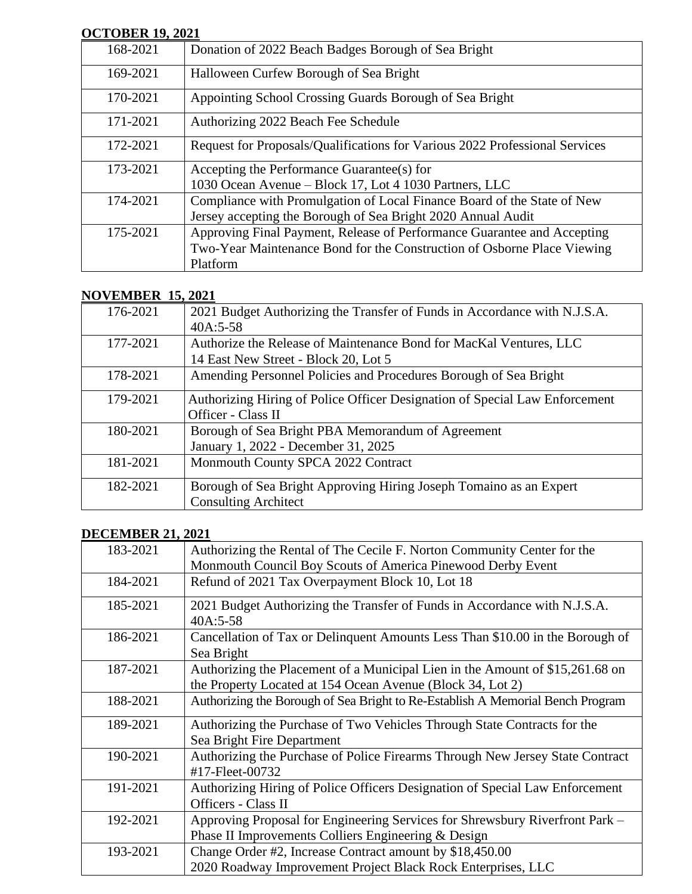#### **OCTOBER 19, 2021**

| 901 SPLAT, 1991 |                                                                             |
|-----------------|-----------------------------------------------------------------------------|
| 168-2021        | Donation of 2022 Beach Badges Borough of Sea Bright                         |
| 169-2021        | Halloween Curfew Borough of Sea Bright                                      |
| 170-2021        | Appointing School Crossing Guards Borough of Sea Bright                     |
| 171-2021        | Authorizing 2022 Beach Fee Schedule                                         |
| 172-2021        | Request for Proposals/Qualifications for Various 2022 Professional Services |
| 173-2021        | Accepting the Performance Guarantee(s) for                                  |
|                 | 1030 Ocean Avenue – Block 17, Lot 4 1030 Partners, LLC                      |
| 174-2021        | Compliance with Promulgation of Local Finance Board of the State of New     |
|                 | Jersey accepting the Borough of Sea Bright 2020 Annual Audit                |
| 175-2021        | Approving Final Payment, Release of Performance Guarantee and Accepting     |
|                 | Two-Year Maintenance Bond for the Construction of Osborne Place Viewing     |
|                 | Platform                                                                    |

#### **NOVEMBER 15, 2021**

| 2021 Budget Authorizing the Transfer of Funds in Accordance with N.J.S.A.   |
|-----------------------------------------------------------------------------|
| $40A:5-58$                                                                  |
| Authorize the Release of Maintenance Bond for MacKal Ventures, LLC          |
| 14 East New Street - Block 20, Lot 5                                        |
| Amending Personnel Policies and Procedures Borough of Sea Bright            |
| Authorizing Hiring of Police Officer Designation of Special Law Enforcement |
| Officer - Class II                                                          |
| Borough of Sea Bright PBA Memorandum of Agreement                           |
| January 1, 2022 - December 31, 2025                                         |
| Monmouth County SPCA 2022 Contract                                          |
| Borough of Sea Bright Approving Hiring Joseph Tomaino as an Expert          |
| <b>Consulting Architect</b>                                                 |
|                                                                             |

## **DECEMBER 21, 2021**

| 183-2021 | Authorizing the Rental of The Cecile F. Norton Community Center for the                                                                     |
|----------|---------------------------------------------------------------------------------------------------------------------------------------------|
|          | Monmouth Council Boy Scouts of America Pinewood Derby Event                                                                                 |
| 184-2021 | Refund of 2021 Tax Overpayment Block 10, Lot 18                                                                                             |
| 185-2021 | 2021 Budget Authorizing the Transfer of Funds in Accordance with N.J.S.A.<br>40A:5-58                                                       |
| 186-2021 | Cancellation of Tax or Delinquent Amounts Less Than \$10.00 in the Borough of<br>Sea Bright                                                 |
| 187-2021 | Authorizing the Placement of a Municipal Lien in the Amount of \$15,261.68 on<br>the Property Located at 154 Ocean Avenue (Block 34, Lot 2) |
| 188-2021 | Authorizing the Borough of Sea Bright to Re-Establish A Memorial Bench Program                                                              |
| 189-2021 | Authorizing the Purchase of Two Vehicles Through State Contracts for the<br>Sea Bright Fire Department                                      |
| 190-2021 | Authorizing the Purchase of Police Firearms Through New Jersey State Contract<br>#17-Fleet-00732                                            |
| 191-2021 | Authorizing Hiring of Police Officers Designation of Special Law Enforcement<br>Officers - Class II                                         |
| 192-2021 | Approving Proposal for Engineering Services for Shrewsbury Riverfront Park -<br>Phase II Improvements Colliers Engineering & Design         |
| 193-2021 | Change Order #2, Increase Contract amount by \$18,450.00<br>2020 Roadway Improvement Project Black Rock Enterprises, LLC                    |